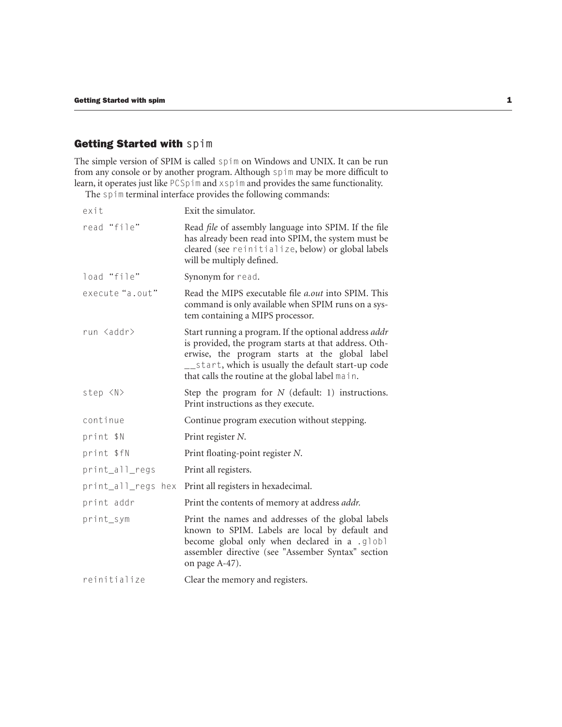## Getting Started with **spim**

The simple version of SPIM is called spim on Windows and UNIX. It can be run from any console or by another program. Although spim may be more difficult to learn, it operates just like PCSpim and xspim and provides the same functionality.

The spim terminal interface provides the following commands:

| exit               | Exit the simulator.                                                                                                                                                                                                                                                         |
|--------------------|-----------------------------------------------------------------------------------------------------------------------------------------------------------------------------------------------------------------------------------------------------------------------------|
| read "file"        | Read file of assembly language into SPIM. If the file<br>has already been read into SPIM, the system must be<br>cleared (see reinitialize, below) or global labels<br>will be multiply defined.                                                                             |
| load "file"        | Synonym for read.                                                                                                                                                                                                                                                           |
| execute "a.out"    | Read the MIPS executable file <i>a.out</i> into SPIM. This<br>command is only available when SPIM runs on a sys-<br>tem containing a MIPS processor.                                                                                                                        |
| run <addr></addr>  | Start running a program. If the optional address addr<br>is provided, the program starts at that address. Oth-<br>erwise, the program starts at the global label<br>__start, which is usually the default start-up code<br>that calls the routine at the global label main. |
| step <n></n>       | Step the program for $N$ (default: 1) instructions.<br>Print instructions as they execute.                                                                                                                                                                                  |
| continue           | Continue program execution without stepping.                                                                                                                                                                                                                                |
| print \$N          | Print register N.                                                                                                                                                                                                                                                           |
| print \$fN         | Print floating-point register N.                                                                                                                                                                                                                                            |
| print_all_regs     | Print all registers.                                                                                                                                                                                                                                                        |
| print_all_regs hex | Print all registers in hexadecimal.                                                                                                                                                                                                                                         |
| print addr         | Print the contents of memory at address <i>addr</i> .                                                                                                                                                                                                                       |
| print_sym          | Print the names and addresses of the global labels<br>known to SPIM. Labels are local by default and<br>become global only when declared in a .globl<br>assembler directive (see "Assember Syntax" section<br>on page A-47).                                                |
| reinitialize       | Clear the memory and registers.                                                                                                                                                                                                                                             |